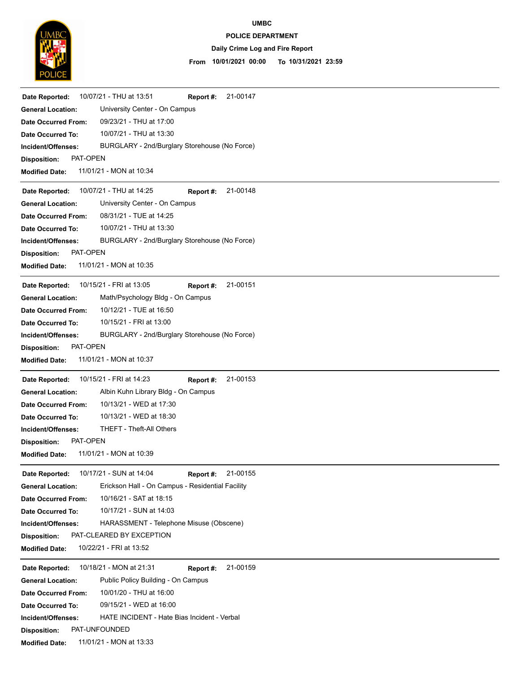

## **UMBC**

### **POLICE DEPARTMENT**

### **Daily Crime Log and Fire Report**

#### **10/01/2021 00:00 To 10/31/2021 23:59 From**

| 10/07/21 - THU at 13:51<br>Date Reported:                                    | 21-00147<br>Report #:                         |  |
|------------------------------------------------------------------------------|-----------------------------------------------|--|
| University Center - On Campus<br><b>General Location:</b>                    |                                               |  |
| 09/23/21 - THU at 17:00<br><b>Date Occurred From:</b>                        |                                               |  |
| 10/07/21 - THU at 13:30<br>Date Occurred To:                                 |                                               |  |
| Incident/Offenses:                                                           | BURGLARY - 2nd/Burglary Storehouse (No Force) |  |
| PAT-OPEN<br><b>Disposition:</b>                                              |                                               |  |
| 11/01/21 - MON at 10:34<br><b>Modified Date:</b>                             |                                               |  |
| 10/07/21 - THU at 14:25<br>Date Reported:                                    | 21-00148<br>Report #:                         |  |
| University Center - On Campus<br><b>General Location:</b>                    |                                               |  |
| 08/31/21 - TUE at 14:25<br><b>Date Occurred From:</b>                        |                                               |  |
| 10/07/21 - THU at 13:30<br>Date Occurred To:                                 |                                               |  |
| Incident/Offenses:                                                           | BURGLARY - 2nd/Burglary Storehouse (No Force) |  |
| PAT-OPEN<br><b>Disposition:</b>                                              |                                               |  |
| 11/01/21 - MON at 10:35<br><b>Modified Date:</b>                             |                                               |  |
|                                                                              |                                               |  |
| 10/15/21 - FRI at 13:05<br>Date Reported:                                    | 21-00151<br>Report #:                         |  |
| Math/Psychology Bldg - On Campus<br><b>General Location:</b>                 |                                               |  |
| 10/12/21 - TUE at 16:50<br><b>Date Occurred From:</b>                        |                                               |  |
| 10/15/21 - FRI at 13:00<br>Date Occurred To:                                 |                                               |  |
| Incident/Offenses:                                                           | BURGLARY - 2nd/Burglary Storehouse (No Force) |  |
| PAT-OPEN<br><b>Disposition:</b>                                              |                                               |  |
| 11/01/21 - MON at 10:37<br><b>Modified Date:</b>                             |                                               |  |
| 10/15/21 - FRI at 14:23<br>Date Reported:                                    | 21-00153<br>Report #:                         |  |
| <b>General Location:</b><br>Albin Kuhn Library Bldg - On Campus              |                                               |  |
| 10/13/21 - WED at 17:30<br><b>Date Occurred From:</b>                        |                                               |  |
| 10/13/21 - WED at 18:30<br>Date Occurred To:                                 |                                               |  |
| THEFT - Theft-All Others<br>Incident/Offenses:                               |                                               |  |
| PAT-OPEN<br><b>Disposition:</b>                                              |                                               |  |
| 11/01/21 - MON at 10:39<br><b>Modified Date:</b>                             |                                               |  |
|                                                                              |                                               |  |
| 10/17/21 - SUN at 14:04<br>Date Reported:                                    | 21-00155<br>Report #:                         |  |
| Erickson Hall - On Campus - Residential Facility<br><b>General Location:</b> |                                               |  |
| 10/16/21 - SAT at 18:15<br><b>Date Occurred From:</b>                        |                                               |  |
| 10/17/21 - SUN at 14:03<br><b>Date Occurred To:</b>                          |                                               |  |
| HARASSMENT - Telephone Misuse (Obscene)<br>Incident/Offenses:                |                                               |  |
| PAT-CLEARED BY EXCEPTION<br><b>Disposition:</b>                              |                                               |  |
| 10/22/21 - FRI at 13:52<br><b>Modified Date:</b>                             |                                               |  |
| 10/18/21 - MON at 21:31<br>Date Reported:                                    | 21-00159<br>Report #:                         |  |
| Public Policy Building - On Campus<br><b>General Location:</b>               |                                               |  |
| 10/01/20 - THU at 16:00<br><b>Date Occurred From:</b>                        |                                               |  |
| 09/15/21 - WED at 16:00<br>Date Occurred To:                                 |                                               |  |
| HATE INCIDENT - Hate Bias Incident - Verbal<br>Incident/Offenses:            |                                               |  |
| PAT-UNFOUNDED<br><b>Disposition:</b>                                         |                                               |  |
|                                                                              |                                               |  |

**Modified Date:** 11/01/21 - MON at 13:33